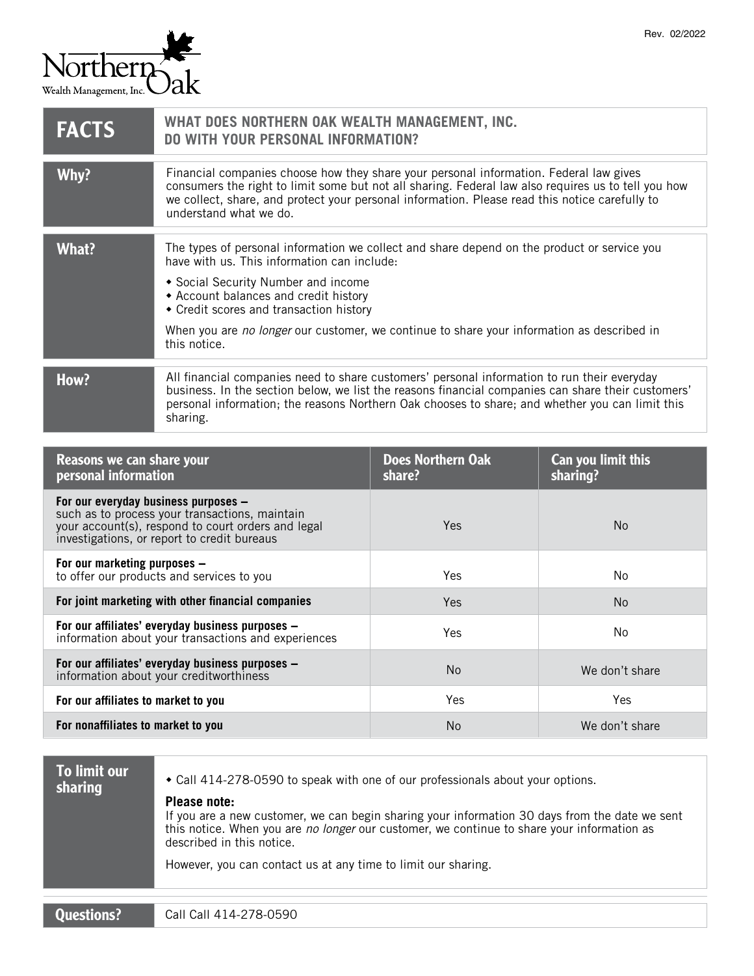

| <b>FACTS</b> | WHAT DOES NORTHERN OAK WEALTH MANAGEMENT, INC.<br><b>DO WITH YOUR PERSONAL INFORMATION?</b>                                                                                                                                                                                                                                                                                         |
|--------------|-------------------------------------------------------------------------------------------------------------------------------------------------------------------------------------------------------------------------------------------------------------------------------------------------------------------------------------------------------------------------------------|
| Why?         | Financial companies choose how they share your personal information. Federal law gives<br>consumers the right to limit some but not all sharing. Federal law also requires us to tell you how<br>we collect, share, and protect your personal information. Please read this notice carefully to<br>understand what we do.                                                           |
| What?        | The types of personal information we collect and share depend on the product or service you<br>have with us. This information can include:<br>• Social Security Number and income<br>• Account balances and credit history<br>• Credit scores and transaction history<br>When you are no longer our customer, we continue to share your information as described in<br>this notice. |
| How?         | All financial companies need to share customers' personal information to run their everyday<br>business. In the section below, we list the reasons financial companies can share their customers'<br>personal information; the reasons Northern Oak chooses to share; and whether you can limit this<br>sharing.                                                                    |

| Reasons we can share your<br>personal information                                                                                                                                           | <b>Does Northern Oak</b><br>share? | Can you limit this<br>sharing? |
|---------------------------------------------------------------------------------------------------------------------------------------------------------------------------------------------|------------------------------------|--------------------------------|
| For our everyday business purposes -<br>such as to process your transactions, maintain<br>your account(s), respond to court orders and legal<br>investigations, or report to credit bureaus | Yes                                | N <sub>o</sub>                 |
| For our marketing purposes -<br>to offer our products and services to you                                                                                                                   | Yes                                | No                             |
| For joint marketing with other financial companies                                                                                                                                          | <b>Yes</b>                         | N <sub>o</sub>                 |
| For our affiliates' everyday business purposes -<br>information about your transactions and experiences                                                                                     | Yes                                | No                             |
| For our affiliates' everyday business purposes -<br>information about your creditworthiness                                                                                                 | <b>No</b>                          | We don't share                 |
| For our affiliates to market to you                                                                                                                                                         | Yes                                | <b>Yes</b>                     |
| For nonaffiliates to market to you                                                                                                                                                          | <b>No</b>                          | We don't share                 |

| <b>To limit our</b><br>sharing | ◆ Call 414-278-0590 to speak with one of our professionals about your options.<br>Please note:<br>If you are a new customer, we can begin sharing your information 30 days from the date we sent<br>this notice. When you are no longer our customer, we continue to share your information as<br>described in this notice.<br>However, you can contact us at any time to limit our sharing. |
|--------------------------------|----------------------------------------------------------------------------------------------------------------------------------------------------------------------------------------------------------------------------------------------------------------------------------------------------------------------------------------------------------------------------------------------|
| <b>Questions?</b>              | Call Call 414-278-0590                                                                                                                                                                                                                                                                                                                                                                       |